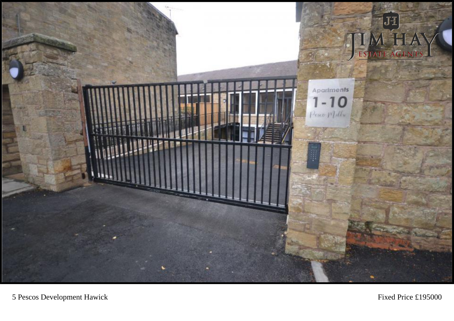

5 Pescos Development Hawick Fixed Price £195000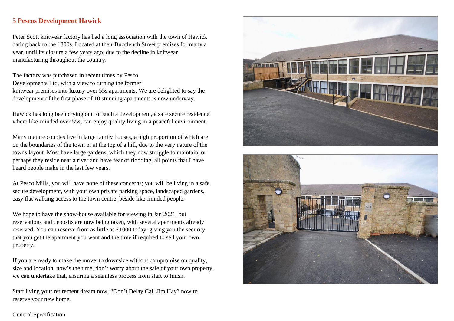## **5 Pescos Development Hawick**

Peter Scott knitwear factory has had a long association with the town of Hawick dating back to the 1800s. Located at their Buccleuch Street premises for many a year, until its closure a few years ago, due to the decline in knitwear manufacturing throughout the country.

The factory was purchased in recent times by Pesco Developments Ltd, with a view to turning the former knitwear premises into luxury over 55s apartments. We are delighted to say the development of the first phase of 10 stunning apartments is now underway.

Hawick has long been crying out for such a development, a safe secure residence where like-minded over 55s, can enjoy quality living in a peaceful environment.

Many mature couples live in large family houses, a high proportion of which are on the boundaries of the town or at the top of a hill, due to the very nature of the towns layout. Most have large gardens, which they now struggle to maintain, or perhaps they reside near a river and have fear of flooding, all points that I have heard people make in the last few years.

At Pesco Mills, you will have none of these concerns; you will be living in a safe, secure development, with your own private parking space, landscaped gardens, easy flat walking access to the town centre, beside like-minded people.

We hope to have the show-house available for viewing in Jan 2021, but reservations and deposits are now being taken, with several apartments already reserved. You can reserve from as little as £1000 today, giving you the security that you get the apartment you want and the time if required to sell your own property.

If you are ready to make the move, to downsize without compromise on quality, size and location, now's the time, don't worry about the sale of your own property, we can undertake that, ensuring a seamless process from start to finish.

Start living your retirement dream now, "Don't Delay Call Jim Hay" now to reserve your new home.





#### General Specification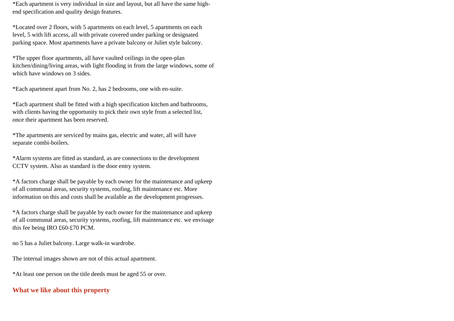\*Each apartment is very individual in size and layout, but all have the same highend specification and quality design features.

\*Located over 2 floors, with 5 apartments on each level, 5 apartments on each level, 5 with lift access, all with private covered under parking or designated parking space. Most apartments have a private balcony or Juliet style balcony.

\*The upper floor apartments, all have vaulted ceilings in the open-plan kitchen/dining/living areas, with light flooding in from the large windows, some of which have windows on 3 sides.

\*Each apartment apart from No. 2, has 2 bedrooms, one with en-suite.

\*Each apartment shall be fitted with a high specification kitchen and bathrooms, with clients having the opportunity to pick their own style from a selected list, once their apartment has been reserved.

\*The apartments are serviced by mains gas, electric and water, all will have separate combi-boilers.

\*Alarm systems are fitted as standard, as are connections to the development CCTV system. Also as standard is the door entry system.

\*A factors charge shall be payable by each owner for the maintenance and upkeep of all communal areas, security systems, roofing, lift maintenance etc. More information on this and costs shall be available as the development progresses.

\*A factors charge shall be payable by each owner for the maintenance and upkeep of all communal areas, security systems, roofing, lift maintenance etc. we envisage this fee being IRO £60-£70 PCM.

no 5 has a Juliet balcony. Large walk-in wardrobe.

The internal images shown are not of this actual apartment.

\*At least one person on the title deeds must be aged 55 or over.

# **What we like about this property**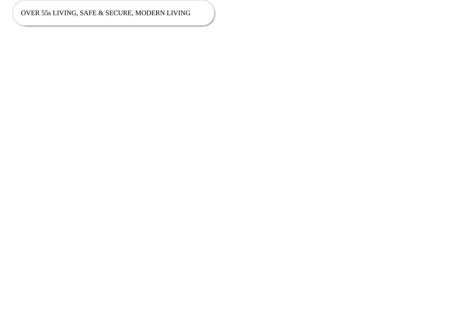# OVER 55s LIVING, SAFE & SECURE, MODERN LIVING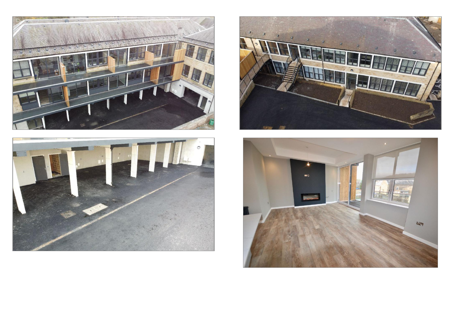